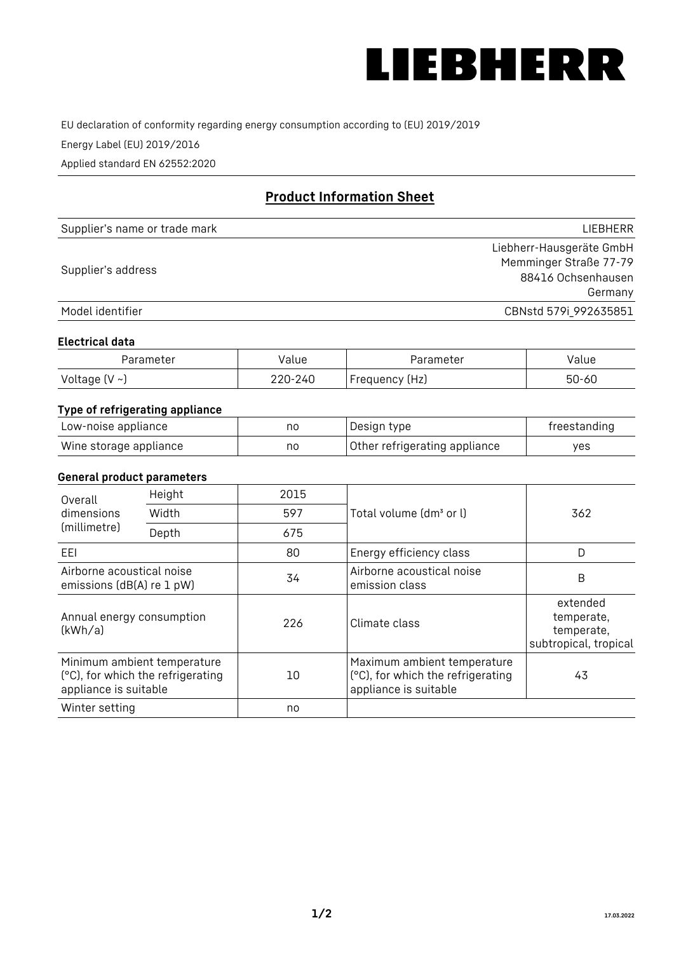

EU declaration of conformity regarding energy consumption according to (EU) 2019/2019

Energy Label (EU) 2019/2016

Applied standard EN 62552:2020

# **Product Information Sheet**

| Supplier's name or trade mark | LIEBHERR                 |
|-------------------------------|--------------------------|
|                               | Liebherr-Hausgeräte GmbH |
| Supplier's address            | Memminger Straße 77-79   |
|                               | 88416 Ochsenhausen       |
|                               | Germany                  |
| Model identifier              | CBNstd 579i_992635851    |

#### **Electrical data**

| Parameter          | Value   | Parameter      | alue  |
|--------------------|---------|----------------|-------|
| Voltage $(V \sim)$ | 220-240 | Frequency (Hz) | 50-60 |

# **Type of refrigerating appliance**

| Low-noise appliance    | nc | Design type                   | freestanding |
|------------------------|----|-------------------------------|--------------|
| Wine storage appliance | nc | Other refrigerating appliance | ves          |

## **General product parameters**

| Overall<br>dimensions<br>(millimetre)                  | Height                                                           | 2015 |                                                                                           | 362                                                           |
|--------------------------------------------------------|------------------------------------------------------------------|------|-------------------------------------------------------------------------------------------|---------------------------------------------------------------|
|                                                        | Width                                                            | 597  | Total volume (dm <sup>3</sup> or l)                                                       |                                                               |
|                                                        | Depth                                                            | 675  |                                                                                           |                                                               |
| EEL                                                    |                                                                  | 80   | Energy efficiency class                                                                   | D                                                             |
| Airborne acoustical noise<br>emissions (dB(A) re 1 pW) |                                                                  | 34   | Airborne acoustical noise<br>emission class                                               | B                                                             |
| Annual energy consumption<br>(kWh/a)                   |                                                                  | 226  | Climate class                                                                             | extended<br>temperate,<br>temperate,<br>subtropical, tropical |
| appliance is suitable                                  | Minimum ambient temperature<br>(°C), for which the refrigerating | 10   | Maximum ambient temperature<br>(°C), for which the refrigerating<br>appliance is suitable | 43                                                            |
| Winter setting                                         |                                                                  | no   |                                                                                           |                                                               |